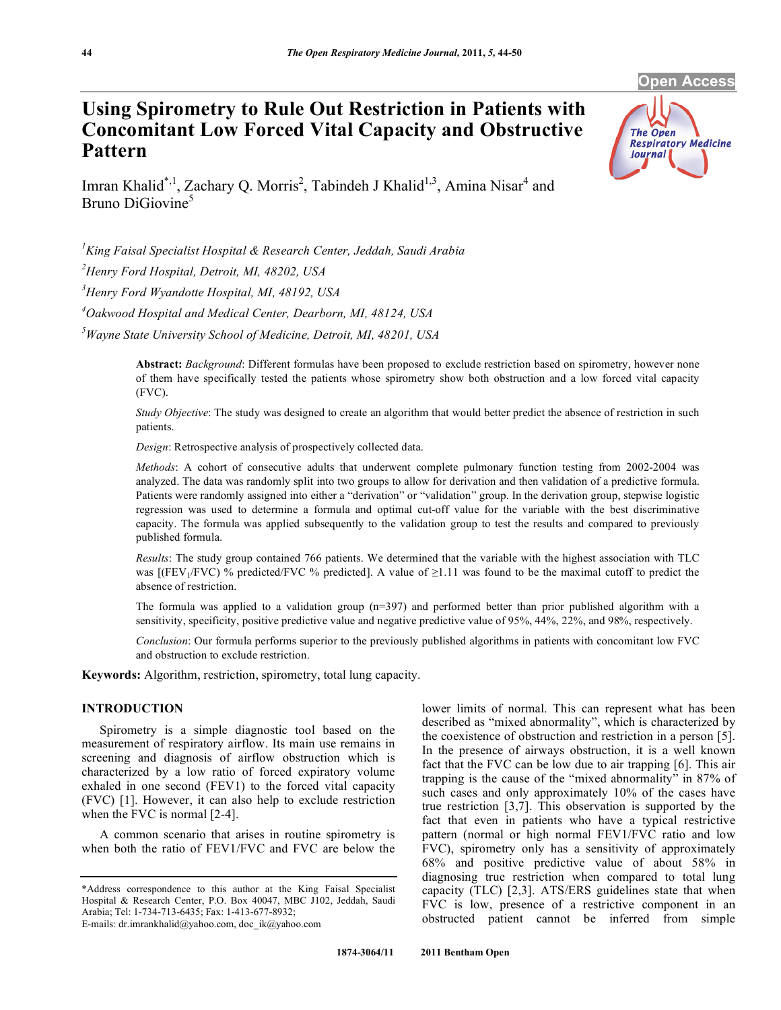**Open Access** 

**Respiratory Medicine** 

The Open

**Journal** 

# **Using Spirometry to Rule Out Restriction in Patients with Concomitant Low Forced Vital Capacity and Obstructive Pattern**

Imran Khalid<sup>\*,1</sup>, Zachary Q. Morris<sup>2</sup>, Tabindeh J Khalid<sup>1,3</sup>, Amina Nisar<sup>4</sup> and Bruno DiGiovine<sup>5</sup>

*1 King Faisal Specialist Hospital & Research Center, Jeddah, Saudi Arabia* 

*2 Henry Ford Hospital, Detroit, MI, 48202, USA*

*3 Henry Ford Wyandotte Hospital, MI, 48192, USA* 

*4 Oakwood Hospital and Medical Center, Dearborn, MI, 48124, USA* 

*5 Wayne State University School of Medicine, Detroit, MI, 48201, USA* 

**Abstract:** *Background*: Different formulas have been proposed to exclude restriction based on spirometry, however none of them have specifically tested the patients whose spirometry show both obstruction and a low forced vital capacity (FVC).

*Study Objective*: The study was designed to create an algorithm that would better predict the absence of restriction in such patients.

*Design*: Retrospective analysis of prospectively collected data.

*Methods*: A cohort of consecutive adults that underwent complete pulmonary function testing from 2002-2004 was analyzed. The data was randomly split into two groups to allow for derivation and then validation of a predictive formula. Patients were randomly assigned into either a "derivation" or "validation" group. In the derivation group, stepwise logistic regression was used to determine a formula and optimal cut-off value for the variable with the best discriminative capacity. The formula was applied subsequently to the validation group to test the results and compared to previously published formula.

*Results*: The study group contained 766 patients. We determined that the variable with the highest association with TLC was  $[$ (FEV<sub>1</sub>/FVC) % predicted/FVC % predicted]. A value of  $\geq$ 1.11 was found to be the maximal cutoff to predict the absence of restriction.

The formula was applied to a validation group  $(n=397)$  and performed better than prior published algorithm with a sensitivity, specificity, positive predictive value and negative predictive value of 95%, 44%, 22%, and 98%, respectively.

*Conclusion*: Our formula performs superior to the previously published algorithms in patients with concomitant low FVC and obstruction to exclude restriction.

**Keywords:** Algorithm, restriction, spirometry, total lung capacity.

## **INTRODUCTION**

 Spirometry is a simple diagnostic tool based on the measurement of respiratory airflow. Its main use remains in screening and diagnosis of airflow obstruction which is characterized by a low ratio of forced expiratory volume exhaled in one second (FEV1) to the forced vital capacity (FVC) [1]. However, it can also help to exclude restriction when the FVC is normal [2-4].

 A common scenario that arises in routine spirometry is when both the ratio of FEV1/FVC and FVC are below the lower limits of normal. This can represent what has been described as "mixed abnormality", which is characterized by the coexistence of obstruction and restriction in a person [5]. In the presence of airways obstruction, it is a well known fact that the FVC can be low due to air trapping [6]. This air trapping is the cause of the "mixed abnormality" in 87% of such cases and only approximately 10% of the cases have true restriction [3,7]. This observation is supported by the fact that even in patients who have a typical restrictive pattern (normal or high normal FEV1/FVC ratio and low FVC), spirometry only has a sensitivity of approximately 68% and positive predictive value of about 58% in diagnosing true restriction when compared to total lung capacity (TLC) [2,3]. ATS/ERS guidelines state that when FVC is low, presence of a restrictive component in an obstructed patient cannot be inferred from simple

<sup>\*</sup>Address correspondence to this author at the King Faisal Specialist Hospital & Research Center, P.O. Box 40047, MBC J102, Jeddah, Saudi Arabia; Tel: 1-734-713-6435; Fax: 1-413-677-8932;

E-mails: dr.imrankhalid@yahoo.com, doc\_ik@yahoo.com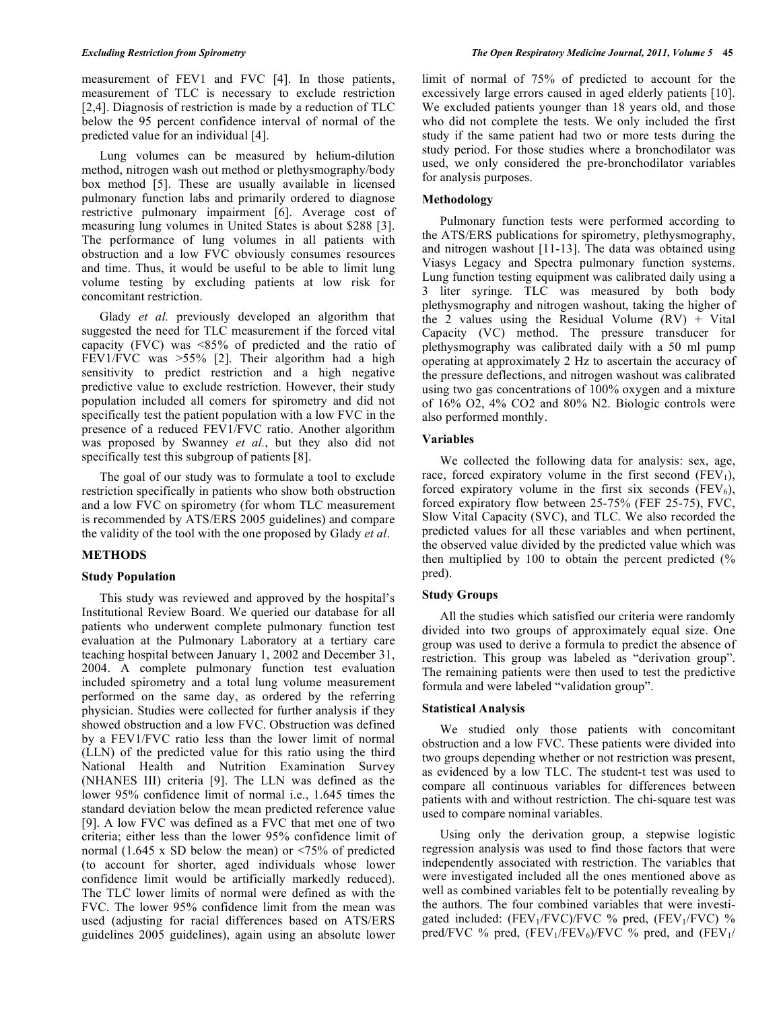measurement of FEV1 and FVC [4]. In those patients, measurement of TLC is necessary to exclude restriction [2,4]. Diagnosis of restriction is made by a reduction of TLC below the 95 percent confidence interval of normal of the predicted value for an individual [4].

 Lung volumes can be measured by helium-dilution method, nitrogen wash out method or plethysmography/body box method [5]. These are usually available in licensed pulmonary function labs and primarily ordered to diagnose restrictive pulmonary impairment [6]. Average cost of measuring lung volumes in United States is about \$288 [3]. The performance of lung volumes in all patients with obstruction and a low FVC obviously consumes resources and time. Thus, it would be useful to be able to limit lung volume testing by excluding patients at low risk for concomitant restriction.

 Glady *et al.* previously developed an algorithm that suggested the need for TLC measurement if the forced vital capacity (FVC) was <85% of predicted and the ratio of FEV1/FVC was >55% [2]. Their algorithm had a high sensitivity to predict restriction and a high negative predictive value to exclude restriction. However, their study population included all comers for spirometry and did not specifically test the patient population with a low FVC in the presence of a reduced FEV1/FVC ratio. Another algorithm was proposed by Swanney *et al.*, but they also did not specifically test this subgroup of patients [8].

 The goal of our study was to formulate a tool to exclude restriction specifically in patients who show both obstruction and a low FVC on spirometry (for whom TLC measurement is recommended by ATS/ERS 2005 guidelines) and compare the validity of the tool with the one proposed by Glady *et al*.

## **METHODS**

## **Study Population**

 This study was reviewed and approved by the hospital's Institutional Review Board. We queried our database for all patients who underwent complete pulmonary function test evaluation at the Pulmonary Laboratory at a tertiary care teaching hospital between January 1, 2002 and December 31, 2004. A complete pulmonary function test evaluation included spirometry and a total lung volume measurement performed on the same day, as ordered by the referring physician. Studies were collected for further analysis if they showed obstruction and a low FVC. Obstruction was defined by a FEV1/FVC ratio less than the lower limit of normal (LLN) of the predicted value for this ratio using the third National Health and Nutrition Examination Survey (NHANES III) criteria [9]. The LLN was defined as the lower 95% confidence limit of normal i.e., 1.645 times the standard deviation below the mean predicted reference value [9]. A low FVC was defined as a FVC that met one of two criteria; either less than the lower 95% confidence limit of normal (1.645 x SD below the mean) or  $\leq$ 75% of predicted (to account for shorter, aged individuals whose lower confidence limit would be artificially markedly reduced). The TLC lower limits of normal were defined as with the FVC. The lower 95% confidence limit from the mean was used (adjusting for racial differences based on ATS/ERS guidelines 2005 guidelines), again using an absolute lower

limit of normal of 75% of predicted to account for the excessively large errors caused in aged elderly patients [10]. We excluded patients younger than 18 years old, and those who did not complete the tests. We only included the first study if the same patient had two or more tests during the study period. For those studies where a bronchodilator was used, we only considered the pre-bronchodilator variables for analysis purposes.

## **Methodology**

 Pulmonary function tests were performed according to the ATS/ERS publications for spirometry, plethysmography, and nitrogen washout [11-13]. The data was obtained using Viasys Legacy and Spectra pulmonary function systems. Lung function testing equipment was calibrated daily using a 3 liter syringe. TLC was measured by both body plethysmography and nitrogen washout, taking the higher of the 2 values using the Residual Volume  $(RV)$  + Vital Capacity (VC) method. The pressure transducer for plethysmography was calibrated daily with a 50 ml pump operating at approximately 2 Hz to ascertain the accuracy of the pressure deflections, and nitrogen washout was calibrated using two gas concentrations of 100% oxygen and a mixture of 16% O2, 4% CO2 and 80% N2. Biologic controls were also performed monthly.

## **Variables**

 We collected the following data for analysis: sex, age, race, forced expiratory volume in the first second  $(FEV_1)$ , forced expiratory volume in the first six seconds ( $FEV<sub>6</sub>$ ), forced expiratory flow between 25-75% (FEF 25-75), FVC, Slow Vital Capacity (SVC), and TLC. We also recorded the predicted values for all these variables and when pertinent, the observed value divided by the predicted value which was then multiplied by 100 to obtain the percent predicted (% pred).

## **Study Groups**

 All the studies which satisfied our criteria were randomly divided into two groups of approximately equal size. One group was used to derive a formula to predict the absence of restriction. This group was labeled as "derivation group". The remaining patients were then used to test the predictive formula and were labeled "validation group".

## **Statistical Analysis**

 We studied only those patients with concomitant obstruction and a low FVC. These patients were divided into two groups depending whether or not restriction was present, as evidenced by a low TLC. The student-t test was used to compare all continuous variables for differences between patients with and without restriction. The chi-square test was used to compare nominal variables.

 Using only the derivation group, a stepwise logistic regression analysis was used to find those factors that were independently associated with restriction. The variables that were investigated included all the ones mentioned above as well as combined variables felt to be potentially revealing by the authors. The four combined variables that were investigated included:  $(FEV_1/FVC)/FVC$  % pred,  $(FEV_1/FVC)$  % pred/FVC % pred,  $(FEV_1/FEV_6)/FVC$  % pred, and  $(FEV_1/$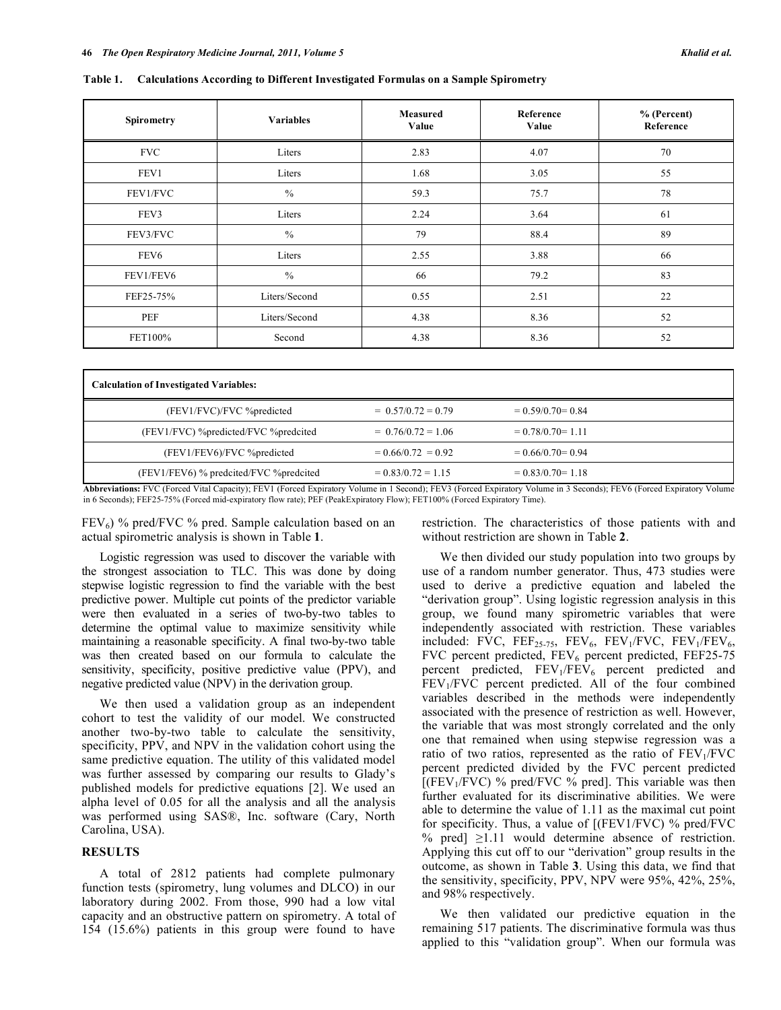**Table 1. Calculations According to Different Investigated Formulas on a Sample Spirometry** 

| Spirometry       | <b>Variables</b> | <b>Measured</b><br>Value | Reference<br>Value | % (Percent)<br>Reference |
|------------------|------------------|--------------------------|--------------------|--------------------------|
| <b>FVC</b>       | Liters           | 2.83                     | 4.07               | 70                       |
| FEV1             | Liters           | 1.68                     | 3.05               | 55                       |
| FEV1/FVC         | $\frac{0}{0}$    | 59.3                     | 75.7               | 78                       |
| FEV3             | Liters           | 2.24                     | 3.64               | 61                       |
| FEV3/FVC         | $\frac{0}{0}$    | 79                       | 88.4               | 89                       |
| FEV <sub>6</sub> | Liters           | 2.55                     | 3.88               | 66                       |
| FEV1/FEV6        | $\frac{0}{0}$    | 66                       | 79.2               | 83                       |
| FEF25-75%        | Liters/Second    | 0.55                     | 2.51               | 22                       |
| PEF              | Liters/Second    | 4.38                     | 8.36               | 52                       |
| FET100%          | Second           | 4.38                     | 8.36               | 52                       |

| <b>Calculation of Investigated Variables:</b> |                      |                      |  |
|-----------------------------------------------|----------------------|----------------------|--|
| (FEV1/FVC)/FVC %predicted                     | $= 0.57/0.72 = 0.79$ | $= 0.59/0.70 = 0.84$ |  |
| (FEV1/FVC) %predicted/FVC %predcited          | $= 0.76/0.72 = 1.06$ | $= 0.78/0.70 = 1.11$ |  |
| (FEV1/FEV6)/FVC %predicted                    | $= 0.66/0.72 = 0.92$ | $= 0.66/0.70 = 0.94$ |  |
| (FEV1/FEV6) % predcited/FVC % predcited       | $= 0.83/0.72 = 1.15$ | $= 0.83/0.70 = 1.18$ |  |

**Abbreviations:** FVC (Forced Vital Capacity); FEV1 (Forced Expiratory Volume in 1 Second); FEV3 (Forced Expiratory Volume in 3 Seconds); FEV6 (Forced Expiratory Volume in 6 Seconds); FEF25-75% (Forced mid-expiratory flow rate); PEF (PeakExpiratory Flow); FET100% (Forced Expiratory Time).

 $FEV_6$ ) % pred/FVC % pred. Sample calculation based on an actual spirometric analysis is shown in Table **1**.

 Logistic regression was used to discover the variable with the strongest association to TLC. This was done by doing stepwise logistic regression to find the variable with the best predictive power. Multiple cut points of the predictor variable were then evaluated in a series of two-by-two tables to determine the optimal value to maximize sensitivity while maintaining a reasonable specificity. A final two-by-two table was then created based on our formula to calculate the sensitivity, specificity, positive predictive value (PPV), and negative predicted value (NPV) in the derivation group.

 We then used a validation group as an independent cohort to test the validity of our model. We constructed another two-by-two table to calculate the sensitivity, specificity, PPV, and NPV in the validation cohort using the same predictive equation. The utility of this validated model was further assessed by comparing our results to Glady's published models for predictive equations [2]. We used an alpha level of 0.05 for all the analysis and all the analysis was performed using SAS®, Inc. software (Cary, North Carolina, USA).

## **RESULTS**

 A total of 2812 patients had complete pulmonary function tests (spirometry, lung volumes and DLCO) in our laboratory during 2002. From those, 990 had a low vital capacity and an obstructive pattern on spirometry. A total of 154 (15.6%) patients in this group were found to have

restriction. The characteristics of those patients with and without restriction are shown in Table **2**.

 We then divided our study population into two groups by use of a random number generator. Thus, 473 studies were used to derive a predictive equation and labeled the "derivation group". Using logistic regression analysis in this group, we found many spirometric variables that were independently associated with restriction. These variables included: FVC, FEF<sub>25-75</sub>, FEV<sub>6</sub>, FEV<sub>1</sub>/FVC, FEV<sub>1</sub>/FEV<sub>6</sub>, FVC percent predicted,  $FEV_6$  percent predicted,  $FEF25-75$ percent predicted,  $FEV_1/FEV_6$  percent predicted and FEV<sub>1</sub>/FVC percent predicted. All of the four combined variables described in the methods were independently associated with the presence of restriction as well. However, the variable that was most strongly correlated and the only one that remained when using stepwise regression was a ratio of two ratios, represented as the ratio of  $FEV<sub>1</sub>/FVC$ percent predicted divided by the FVC percent predicted  $[(FEV<sub>1</sub>/FVC)$  % pred/FVC % pred]. This variable was then further evaluated for its discriminative abilities. We were able to determine the value of 1.11 as the maximal cut point for specificity. Thus, a value of [(FEV1/FVC) % pred/FVC % pred]  $\geq 1.11$  would determine absence of restriction. Applying this cut off to our "derivation" group results in the outcome, as shown in Table **3**. Using this data, we find that the sensitivity, specificity, PPV, NPV were 95%, 42%, 25%, and 98% respectively.

 We then validated our predictive equation in the remaining 517 patients. The discriminative formula was thus applied to this "validation group". When our formula was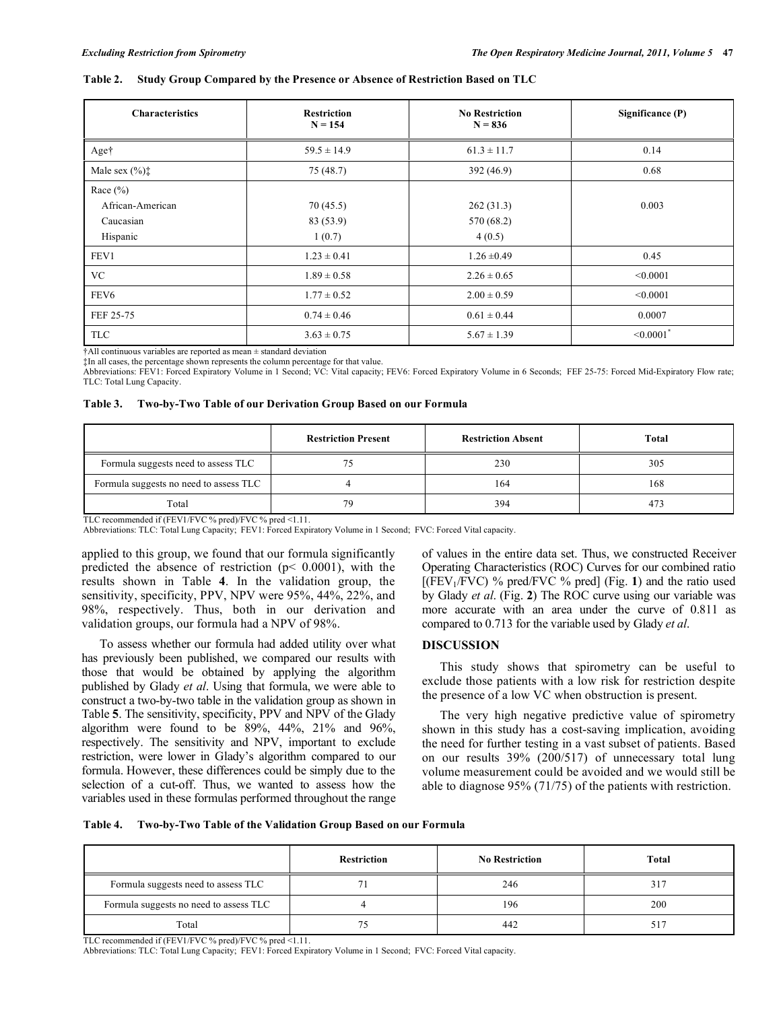#### **Table 2. Study Group Compared by the Presence or Absence of Restriction Based on TLC**

| <b>Characteristics</b>                                    | <b>Restriction</b><br>$N = 154$ | <b>No Restriction</b><br>$N = 836$ | Significance (P)           |
|-----------------------------------------------------------|---------------------------------|------------------------------------|----------------------------|
| Aget                                                      | $59.5 \pm 14.9$                 | $61.3 \pm 11.7$                    | 0.14                       |
| Male sex $(\% )$ <sup><math>\ddagger</math></sup>         | 75 (48.7)                       | 392(46.9)                          | 0.68                       |
| Race $(\% )$<br>African-American<br>Caucasian<br>Hispanic | 70(45.5)<br>83 (53.9)<br>1(0.7) | 262(31.3)<br>570 (68.2)<br>4(0.5)  | 0.003                      |
| FEV1                                                      | $1.23 \pm 0.41$                 | $1.26 \pm 0.49$                    | 0.45                       |
| <b>VC</b>                                                 | $1.89 \pm 0.58$                 | $2.26 \pm 0.65$                    | < 0.0001                   |
| FEV <sub>6</sub>                                          | $1.77 \pm 0.52$                 | $2.00 \pm 0.59$                    | < 0.0001                   |
| FEF 25-75                                                 | $0.74 \pm 0.46$                 | $0.61 \pm 0.44$                    | 0.0007                     |
| <b>TLC</b>                                                | $3.63 \pm 0.75$                 | $5.67 \pm 1.39$                    | $\leq 0.0001$ <sup>*</sup> |

†All continuous variables are reported as mean ± standard deviation

‡In all cases, the percentage shown represents the column percentage for that value.

Abbreviations: FEV1: Forced Expiratory Volume in 1 Second; VC: Vital capacity; FEV6: Forced Expiratory Volume in 6 Seconds; FEF 25-75: Forced Mid-Expiratory Flow rate; TLC: Total Lung Capacity.

|  |  | Table 3. Two-by-Two Table of our Derivation Group Based on our Formula |
|--|--|------------------------------------------------------------------------|
|  |  |                                                                        |

|                                        | <b>Restriction Present</b> | <b>Restriction Absent</b> | Total |
|----------------------------------------|----------------------------|---------------------------|-------|
| Formula suggests need to assess TLC    |                            | 230                       | 305   |
| Formula suggests no need to assess TLC |                            | 164                       | 168   |
| Total                                  | 79                         | 394                       | 473   |

TLC recommended if (FEV1/FVC % pred)/FVC % pred <1.11.

Abbreviations: TLC: Total Lung Capacity; FEV1: Forced Expiratory Volume in 1 Second; FVC: Forced Vital capacity.

applied to this group, we found that our formula significantly predicted the absence of restriction ( $p$ < 0.0001), with the results shown in Table **4**. In the validation group, the sensitivity, specificity, PPV, NPV were 95%, 44%, 22%, and 98%, respectively. Thus, both in our derivation and validation groups, our formula had a NPV of 98%.

 To assess whether our formula had added utility over what has previously been published, we compared our results with those that would be obtained by applying the algorithm published by Glady *et al*. Using that formula, we were able to construct a two-by-two table in the validation group as shown in Table **5**. The sensitivity, specificity, PPV and NPV of the Glady algorithm were found to be 89%, 44%, 21% and 96%, respectively. The sensitivity and NPV, important to exclude restriction, were lower in Glady's algorithm compared to our formula. However, these differences could be simply due to the selection of a cut-off. Thus, we wanted to assess how the variables used in these formulas performed throughout the range

of values in the entire data set. Thus, we constructed Receiver Operating Characteristics (ROC) Curves for our combined ratio  $[(FEV<sub>1</sub>/FVC)$  % pred/FVC % pred] (Fig. 1) and the ratio used by Glady *et al*. (Fig. **2**) The ROC curve using our variable was more accurate with an area under the curve of 0.811 as compared to 0.713 for the variable used by Glady *et al*.

#### **DISCUSSION**

 This study shows that spirometry can be useful to exclude those patients with a low risk for restriction despite the presence of a low VC when obstruction is present.

 The very high negative predictive value of spirometry shown in this study has a cost-saving implication, avoiding the need for further testing in a vast subset of patients. Based on our results 39% (200/517) of unnecessary total lung volume measurement could be avoided and we would still be able to diagnose 95% (71/75) of the patients with restriction.

**Table 4. Two-by-Two Table of the Validation Group Based on our Formula** 

|                                        | Restriction | <b>No Restriction</b> | Total |
|----------------------------------------|-------------|-----------------------|-------|
| Formula suggests need to assess TLC    |             | 246                   | 317   |
| Formula suggests no need to assess TLC |             | 196                   | 200   |
| Total                                  |             | 442                   | 51′   |

TLC recommended if (FEV1/FVC % pred)/FVC % pred <1.11.

Abbreviations: TLC: Total Lung Capacity; FEV1: Forced Expiratory Volume in 1 Second; FVC: Forced Vital capacity.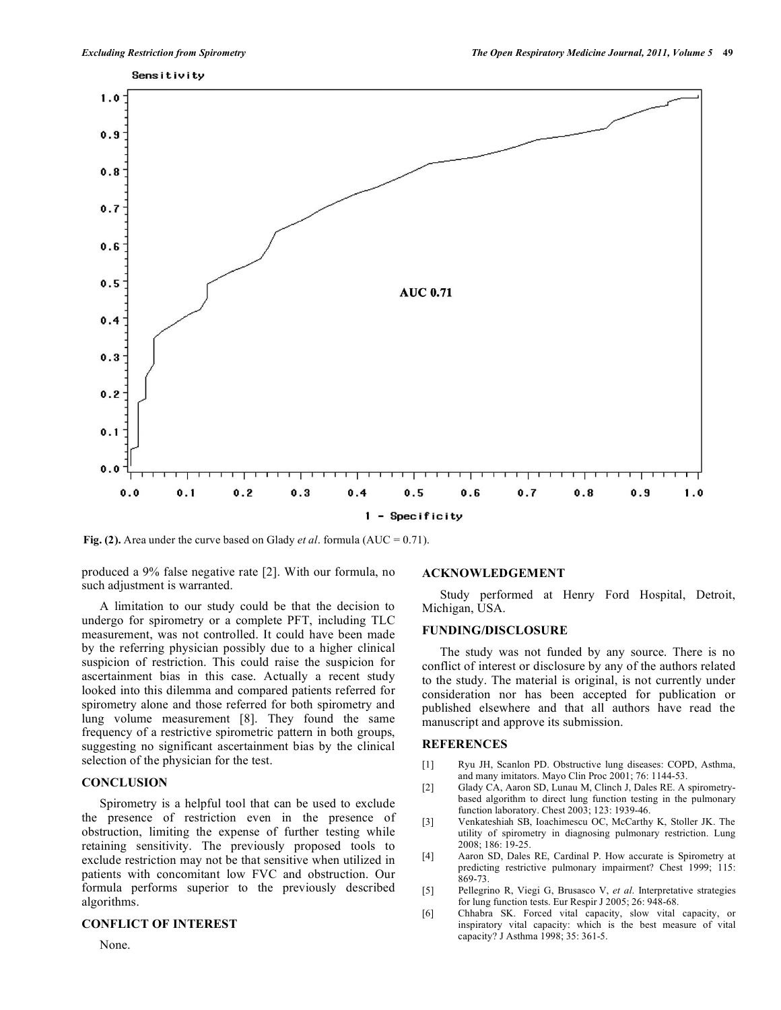

**Fig. (2).** Area under the curve based on Glady *et al*. formula (AUC = 0.71).

produced a 9% false negative rate [2]. With our formula, no such adjustment is warranted.

 A limitation to our study could be that the decision to undergo for spirometry or a complete PFT, including TLC measurement, was not controlled. It could have been made by the referring physician possibly due to a higher clinical suspicion of restriction. This could raise the suspicion for ascertainment bias in this case. Actually a recent study looked into this dilemma and compared patients referred for spirometry alone and those referred for both spirometry and lung volume measurement [8]. They found the same frequency of a restrictive spirometric pattern in both groups, suggesting no significant ascertainment bias by the clinical selection of the physician for the test.

## **CONCLUSION**

 Spirometry is a helpful tool that can be used to exclude the presence of restriction even in the presence of obstruction, limiting the expense of further testing while retaining sensitivity. The previously proposed tools to exclude restriction may not be that sensitive when utilized in patients with concomitant low FVC and obstruction. Our formula performs superior to the previously described algorithms.

### **CONFLICT OF INTEREST**

None.

## **ACKNOWLEDGEMENT**

 Study performed at Henry Ford Hospital, Detroit, Michigan, USA.

## **FUNDING/DISCLOSURE**

 The study was not funded by any source. There is no conflict of interest or disclosure by any of the authors related to the study. The material is original, is not currently under consideration nor has been accepted for publication or published elsewhere and that all authors have read the manuscript and approve its submission.

#### **REFERENCES**

- [1] Ryu JH, Scanlon PD. Obstructive lung diseases: COPD, Asthma, and many imitators. Mayo Clin Proc 2001; 76: 1144-53.
- [2] Glady CA, Aaron SD, Lunau M, Clinch J, Dales RE. A spirometrybased algorithm to direct lung function testing in the pulmonary function laboratory. Chest 2003; 123: 1939-46.
- [3] Venkateshiah SB, Ioachimescu OC, McCarthy K, Stoller JK. The utility of spirometry in diagnosing pulmonary restriction. Lung 2008; 186: 19-25.
- [4] Aaron SD, Dales RE, Cardinal P. How accurate is Spirometry at predicting restrictive pulmonary impairment? Chest 1999; 115: 869-73.
- [5] Pellegrino R, Viegi G, Brusasco V, *et al*. Interpretative strategies for lung function tests. Eur Respir J 2005; 26: 948-68.
- [6] Chhabra SK. Forced vital capacity, slow vital capacity, or inspiratory vital capacity: which is the best measure of vital capacity? J Asthma 1998; 35: 361-5.